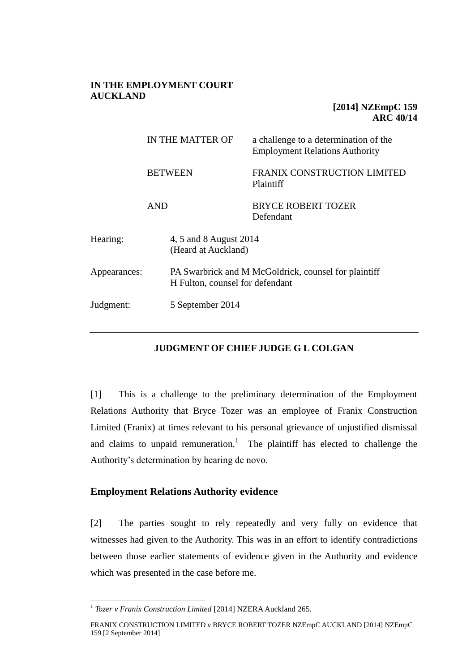## **IN THE EMPLOYMENT COURT AUCKLAND**

# **[2014] NZEmpC 159 ARC 40/14**

|              | IN THE MATTER OF<br><b>BETWEEN</b>            |                  | a challenge to a determination of the<br><b>Employment Relations Authority</b> |
|--------------|-----------------------------------------------|------------------|--------------------------------------------------------------------------------|
|              |                                               |                  | FRANIX CONSTRUCTION LIMITED<br>Plaintiff                                       |
| <b>AND</b>   |                                               |                  | <b>BRYCE ROBERT TOZER</b><br>Defendant                                         |
| Hearing:     | 4, 5 and 8 August 2014<br>(Heard at Auckland) |                  |                                                                                |
| Appearances: | H Fulton, counsel for defendant               |                  | PA Swarbrick and M McGoldrick, counsel for plaintiff                           |
| Judgment:    |                                               | 5 September 2014 |                                                                                |
|              |                                               |                  |                                                                                |

## **JUDGMENT OF CHIEF JUDGE G L COLGAN**

[1] This is a challenge to the preliminary determination of the Employment Relations Authority that Bryce Tozer was an employee of Franix Construction Limited (Franix) at times relevant to his personal grievance of unjustified dismissal and claims to unpaid remuneration.<sup>1</sup> The plaintiff has elected to challenge the Authority's determination by hearing de novo.

# **Employment Relations Authority evidence**

[2] The parties sought to rely repeatedly and very fully on evidence that witnesses had given to the Authority. This was in an effort to identify contradictions between those earlier statements of evidence given in the Authority and evidence which was presented in the case before me.

 1 *Tozer v Franix Construction Limited* [2014] NZERA Auckland 265.

FRANIX CONSTRUCTION LIMITED v BRYCE ROBERT TOZER NZEmpC AUCKLAND [2014] NZEmpC 159 [2 September 2014]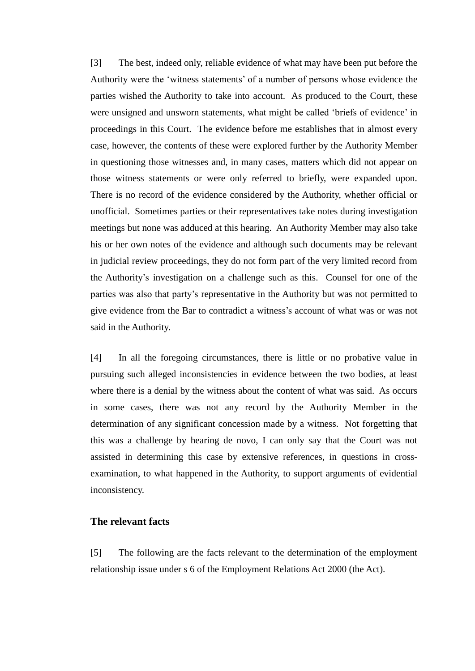[3] The best, indeed only, reliable evidence of what may have been put before the Authority were the 'witness statements' of a number of persons whose evidence the parties wished the Authority to take into account. As produced to the Court, these were unsigned and unsworn statements, what might be called 'briefs of evidence' in proceedings in this Court. The evidence before me establishes that in almost every case, however, the contents of these were explored further by the Authority Member in questioning those witnesses and, in many cases, matters which did not appear on those witness statements or were only referred to briefly, were expanded upon. There is no record of the evidence considered by the Authority, whether official or unofficial. Sometimes parties or their representatives take notes during investigation meetings but none was adduced at this hearing. An Authority Member may also take his or her own notes of the evidence and although such documents may be relevant in judicial review proceedings, they do not form part of the very limited record from the Authority's investigation on a challenge such as this. Counsel for one of the parties was also that party's representative in the Authority but was not permitted to give evidence from the Bar to contradict a witness's account of what was or was not said in the Authority.

[4] In all the foregoing circumstances, there is little or no probative value in pursuing such alleged inconsistencies in evidence between the two bodies, at least where there is a denial by the witness about the content of what was said. As occurs in some cases, there was not any record by the Authority Member in the determination of any significant concession made by a witness. Not forgetting that this was a challenge by hearing de novo, I can only say that the Court was not assisted in determining this case by extensive references, in questions in crossexamination, to what happened in the Authority, to support arguments of evidential inconsistency.

#### **The relevant facts**

[5] The following are the facts relevant to the determination of the employment relationship issue under s 6 of the Employment Relations Act 2000 (the Act).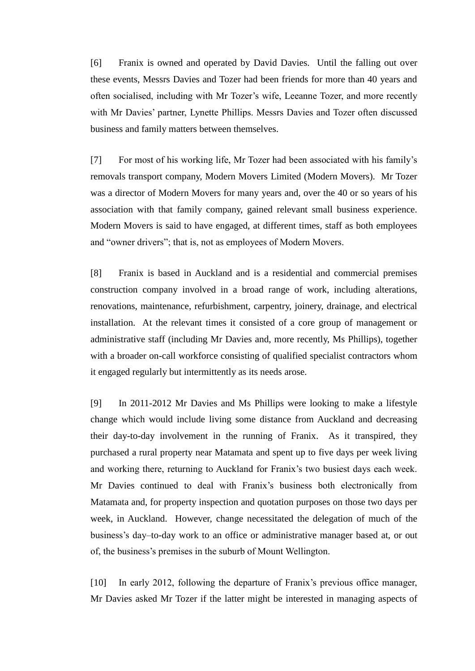[6] Franix is owned and operated by David Davies. Until the falling out over these events, Messrs Davies and Tozer had been friends for more than 40 years and often socialised, including with Mr Tozer's wife, Leeanne Tozer, and more recently with Mr Davies' partner, Lynette Phillips. Messrs Davies and Tozer often discussed business and family matters between themselves.

[7] For most of his working life, Mr Tozer had been associated with his family's removals transport company, Modern Movers Limited (Modern Movers). Mr Tozer was a director of Modern Movers for many years and, over the 40 or so years of his association with that family company, gained relevant small business experience. Modern Movers is said to have engaged, at different times, staff as both employees and "owner drivers"; that is, not as employees of Modern Movers.

[8] Franix is based in Auckland and is a residential and commercial premises construction company involved in a broad range of work, including alterations, renovations, maintenance, refurbishment, carpentry, joinery, drainage, and electrical installation. At the relevant times it consisted of a core group of management or administrative staff (including Mr Davies and, more recently, Ms Phillips), together with a broader on-call workforce consisting of qualified specialist contractors whom it engaged regularly but intermittently as its needs arose.

[9] In 2011-2012 Mr Davies and Ms Phillips were looking to make a lifestyle change which would include living some distance from Auckland and decreasing their day-to-day involvement in the running of Franix. As it transpired, they purchased a rural property near Matamata and spent up to five days per week living and working there, returning to Auckland for Franix's two busiest days each week. Mr Davies continued to deal with Franix's business both electronically from Matamata and, for property inspection and quotation purposes on those two days per week, in Auckland. However, change necessitated the delegation of much of the business's day–to-day work to an office or administrative manager based at, or out of, the business's premises in the suburb of Mount Wellington.

[10] In early 2012, following the departure of Franix's previous office manager, Mr Davies asked Mr Tozer if the latter might be interested in managing aspects of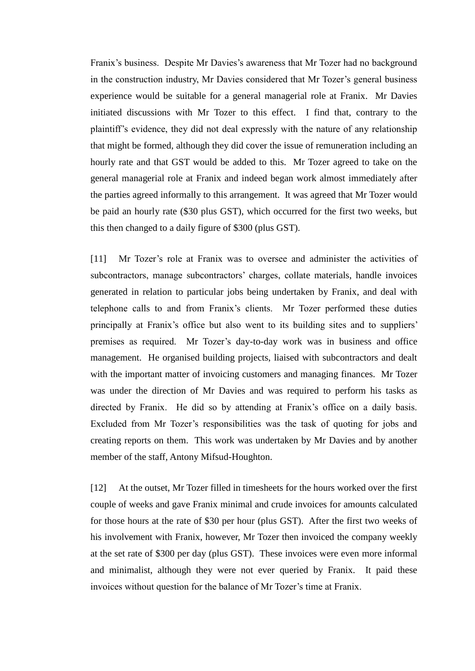Franix's business. Despite Mr Davies's awareness that Mr Tozer had no background in the construction industry, Mr Davies considered that Mr Tozer's general business experience would be suitable for a general managerial role at Franix. Mr Davies initiated discussions with Mr Tozer to this effect. I find that, contrary to the plaintiff's evidence, they did not deal expressly with the nature of any relationship that might be formed, although they did cover the issue of remuneration including an hourly rate and that GST would be added to this. Mr Tozer agreed to take on the general managerial role at Franix and indeed began work almost immediately after the parties agreed informally to this arrangement. It was agreed that Mr Tozer would be paid an hourly rate (\$30 plus GST), which occurred for the first two weeks, but this then changed to a daily figure of \$300 (plus GST).

[11] Mr Tozer's role at Franix was to oversee and administer the activities of subcontractors, manage subcontractors' charges, collate materials, handle invoices generated in relation to particular jobs being undertaken by Franix, and deal with telephone calls to and from Franix's clients. Mr Tozer performed these duties principally at Franix's office but also went to its building sites and to suppliers' premises as required. Mr Tozer's day-to-day work was in business and office management. He organised building projects, liaised with subcontractors and dealt with the important matter of invoicing customers and managing finances. Mr Tozer was under the direction of Mr Davies and was required to perform his tasks as directed by Franix. He did so by attending at Franix's office on a daily basis. Excluded from Mr Tozer's responsibilities was the task of quoting for jobs and creating reports on them. This work was undertaken by Mr Davies and by another member of the staff, Antony Mifsud-Houghton.

[12] At the outset, Mr Tozer filled in timesheets for the hours worked over the first couple of weeks and gave Franix minimal and crude invoices for amounts calculated for those hours at the rate of \$30 per hour (plus GST). After the first two weeks of his involvement with Franix, however, Mr Tozer then invoiced the company weekly at the set rate of \$300 per day (plus GST). These invoices were even more informal and minimalist, although they were not ever queried by Franix. It paid these invoices without question for the balance of Mr Tozer's time at Franix.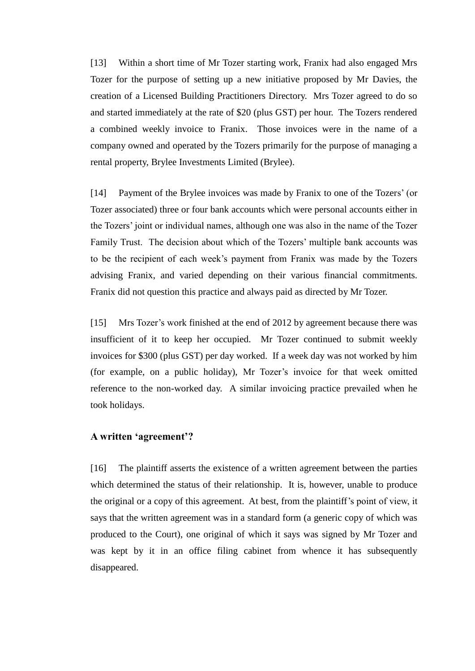[13] Within a short time of Mr Tozer starting work, Franix had also engaged Mrs Tozer for the purpose of setting up a new initiative proposed by Mr Davies, the creation of a Licensed Building Practitioners Directory. Mrs Tozer agreed to do so and started immediately at the rate of \$20 (plus GST) per hour. The Tozers rendered a combined weekly invoice to Franix. Those invoices were in the name of a company owned and operated by the Tozers primarily for the purpose of managing a rental property, Brylee Investments Limited (Brylee).

[14] Payment of the Brylee invoices was made by Franix to one of the Tozers' (or Tozer associated) three or four bank accounts which were personal accounts either in the Tozers' joint or individual names, although one was also in the name of the Tozer Family Trust. The decision about which of the Tozers' multiple bank accounts was to be the recipient of each week's payment from Franix was made by the Tozers advising Franix, and varied depending on their various financial commitments. Franix did not question this practice and always paid as directed by Mr Tozer.

[15] Mrs Tozer's work finished at the end of 2012 by agreement because there was insufficient of it to keep her occupied. Mr Tozer continued to submit weekly invoices for \$300 (plus GST) per day worked. If a week day was not worked by him (for example, on a public holiday), Mr Tozer's invoice for that week omitted reference to the non-worked day. A similar invoicing practice prevailed when he took holidays.

## **A written 'agreement'?**

[16] The plaintiff asserts the existence of a written agreement between the parties which determined the status of their relationship. It is, however, unable to produce the original or a copy of this agreement. At best, from the plaintiff's point of view, it says that the written agreement was in a standard form (a generic copy of which was produced to the Court), one original of which it says was signed by Mr Tozer and was kept by it in an office filing cabinet from whence it has subsequently disappeared.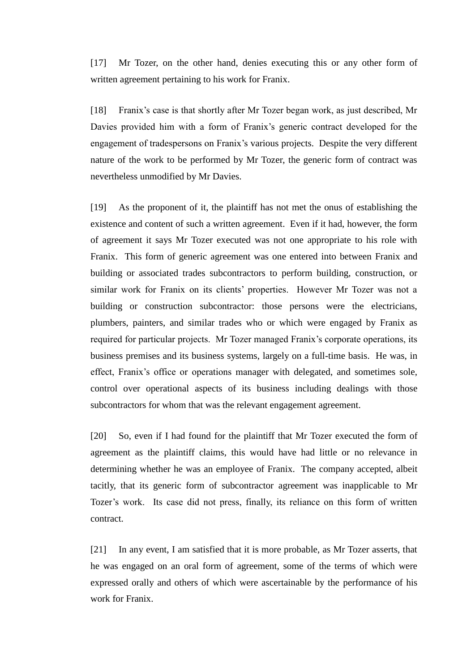[17] Mr Tozer, on the other hand, denies executing this or any other form of written agreement pertaining to his work for Franix.

[18] Franix's case is that shortly after Mr Tozer began work, as just described, Mr Davies provided him with a form of Franix's generic contract developed for the engagement of tradespersons on Franix's various projects. Despite the very different nature of the work to be performed by Mr Tozer, the generic form of contract was nevertheless unmodified by Mr Davies.

[19] As the proponent of it, the plaintiff has not met the onus of establishing the existence and content of such a written agreement. Even if it had, however, the form of agreement it says Mr Tozer executed was not one appropriate to his role with Franix. This form of generic agreement was one entered into between Franix and building or associated trades subcontractors to perform building, construction, or similar work for Franix on its clients' properties. However Mr Tozer was not a building or construction subcontractor: those persons were the electricians, plumbers, painters, and similar trades who or which were engaged by Franix as required for particular projects. Mr Tozer managed Franix's corporate operations, its business premises and its business systems, largely on a full-time basis. He was, in effect, Franix's office or operations manager with delegated, and sometimes sole, control over operational aspects of its business including dealings with those subcontractors for whom that was the relevant engagement agreement.

[20] So, even if I had found for the plaintiff that Mr Tozer executed the form of agreement as the plaintiff claims, this would have had little or no relevance in determining whether he was an employee of Franix. The company accepted, albeit tacitly, that its generic form of subcontractor agreement was inapplicable to Mr Tozer's work. Its case did not press, finally, its reliance on this form of written contract.

[21] In any event, I am satisfied that it is more probable, as Mr Tozer asserts, that he was engaged on an oral form of agreement, some of the terms of which were expressed orally and others of which were ascertainable by the performance of his work for Franix.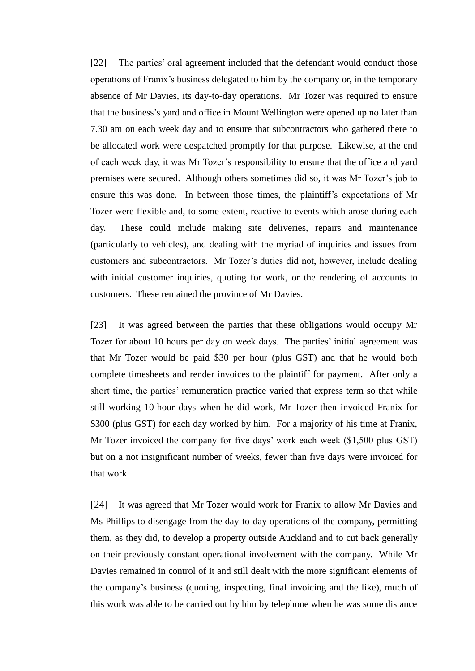[22] The parties' oral agreement included that the defendant would conduct those operations of Franix's business delegated to him by the company or, in the temporary absence of Mr Davies, its day-to-day operations. Mr Tozer was required to ensure that the business's yard and office in Mount Wellington were opened up no later than 7.30 am on each week day and to ensure that subcontractors who gathered there to be allocated work were despatched promptly for that purpose. Likewise, at the end of each week day, it was Mr Tozer's responsibility to ensure that the office and yard premises were secured. Although others sometimes did so, it was Mr Tozer's job to ensure this was done. In between those times, the plaintiff's expectations of Mr Tozer were flexible and, to some extent, reactive to events which arose during each day. These could include making site deliveries, repairs and maintenance (particularly to vehicles), and dealing with the myriad of inquiries and issues from customers and subcontractors. Mr Tozer's duties did not, however, include dealing with initial customer inquiries, quoting for work, or the rendering of accounts to customers. These remained the province of Mr Davies.

[23] It was agreed between the parties that these obligations would occupy Mr Tozer for about 10 hours per day on week days. The parties' initial agreement was that Mr Tozer would be paid \$30 per hour (plus GST) and that he would both complete timesheets and render invoices to the plaintiff for payment. After only a short time, the parties' remuneration practice varied that express term so that while still working 10-hour days when he did work, Mr Tozer then invoiced Franix for \$300 (plus GST) for each day worked by him. For a majority of his time at Franix, Mr Tozer invoiced the company for five days' work each week (\$1,500 plus GST) but on a not insignificant number of weeks, fewer than five days were invoiced for that work.

[24] It was agreed that Mr Tozer would work for Franix to allow Mr Davies and Ms Phillips to disengage from the day-to-day operations of the company, permitting them, as they did, to develop a property outside Auckland and to cut back generally on their previously constant operational involvement with the company. While Mr Davies remained in control of it and still dealt with the more significant elements of the company's business (quoting, inspecting, final invoicing and the like), much of this work was able to be carried out by him by telephone when he was some distance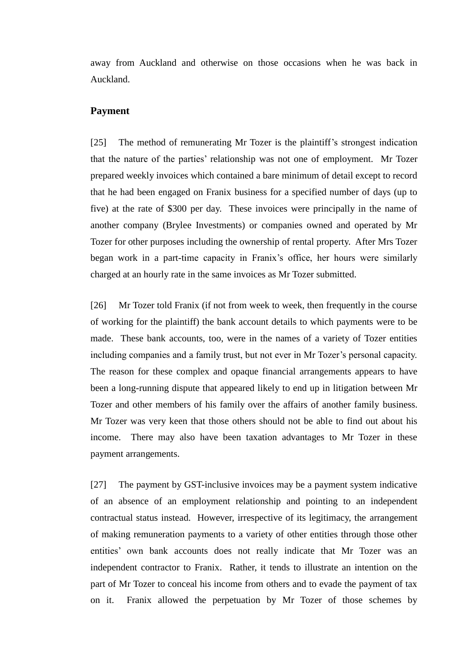away from Auckland and otherwise on those occasions when he was back in Auckland.

#### **Payment**

[25] The method of remunerating Mr Tozer is the plaintiff's strongest indication that the nature of the parties' relationship was not one of employment. Mr Tozer prepared weekly invoices which contained a bare minimum of detail except to record that he had been engaged on Franix business for a specified number of days (up to five) at the rate of \$300 per day. These invoices were principally in the name of another company (Brylee Investments) or companies owned and operated by Mr Tozer for other purposes including the ownership of rental property. After Mrs Tozer began work in a part-time capacity in Franix's office, her hours were similarly charged at an hourly rate in the same invoices as Mr Tozer submitted.

[26] Mr Tozer told Franix (if not from week to week, then frequently in the course of working for the plaintiff) the bank account details to which payments were to be made. These bank accounts, too, were in the names of a variety of Tozer entities including companies and a family trust, but not ever in Mr Tozer's personal capacity. The reason for these complex and opaque financial arrangements appears to have been a long-running dispute that appeared likely to end up in litigation between Mr Tozer and other members of his family over the affairs of another family business. Mr Tozer was very keen that those others should not be able to find out about his income. There may also have been taxation advantages to Mr Tozer in these payment arrangements.

[27] The payment by GST-inclusive invoices may be a payment system indicative of an absence of an employment relationship and pointing to an independent contractual status instead. However, irrespective of its legitimacy, the arrangement of making remuneration payments to a variety of other entities through those other entities' own bank accounts does not really indicate that Mr Tozer was an independent contractor to Franix. Rather, it tends to illustrate an intention on the part of Mr Tozer to conceal his income from others and to evade the payment of tax on it. Franix allowed the perpetuation by Mr Tozer of those schemes by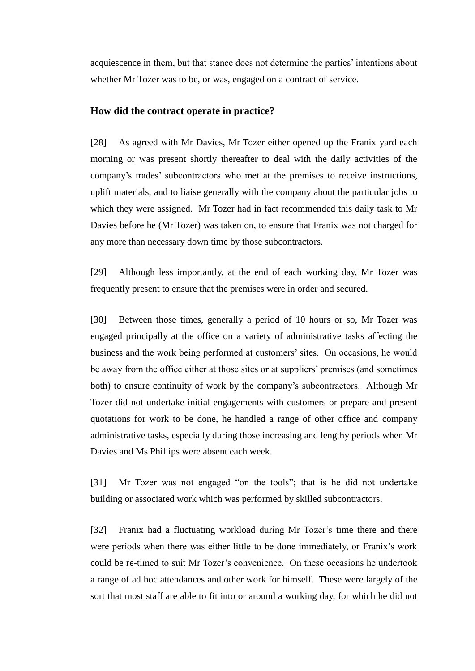acquiescence in them, but that stance does not determine the parties' intentions about whether Mr Tozer was to be, or was, engaged on a contract of service.

## **How did the contract operate in practice?**

[28] As agreed with Mr Davies, Mr Tozer either opened up the Franix yard each morning or was present shortly thereafter to deal with the daily activities of the company's trades' subcontractors who met at the premises to receive instructions, uplift materials, and to liaise generally with the company about the particular jobs to which they were assigned. Mr Tozer had in fact recommended this daily task to Mr Davies before he (Mr Tozer) was taken on, to ensure that Franix was not charged for any more than necessary down time by those subcontractors.

[29] Although less importantly, at the end of each working day, Mr Tozer was frequently present to ensure that the premises were in order and secured.

[30] Between those times, generally a period of 10 hours or so, Mr Tozer was engaged principally at the office on a variety of administrative tasks affecting the business and the work being performed at customers' sites. On occasions, he would be away from the office either at those sites or at suppliers' premises (and sometimes both) to ensure continuity of work by the company's subcontractors. Although Mr Tozer did not undertake initial engagements with customers or prepare and present quotations for work to be done, he handled a range of other office and company administrative tasks, especially during those increasing and lengthy periods when Mr Davies and Ms Phillips were absent each week.

[31] Mr Tozer was not engaged "on the tools"; that is he did not undertake building or associated work which was performed by skilled subcontractors.

[32] Franix had a fluctuating workload during Mr Tozer's time there and there were periods when there was either little to be done immediately, or Franix's work could be re-timed to suit Mr Tozer's convenience. On these occasions he undertook a range of ad hoc attendances and other work for himself. These were largely of the sort that most staff are able to fit into or around a working day, for which he did not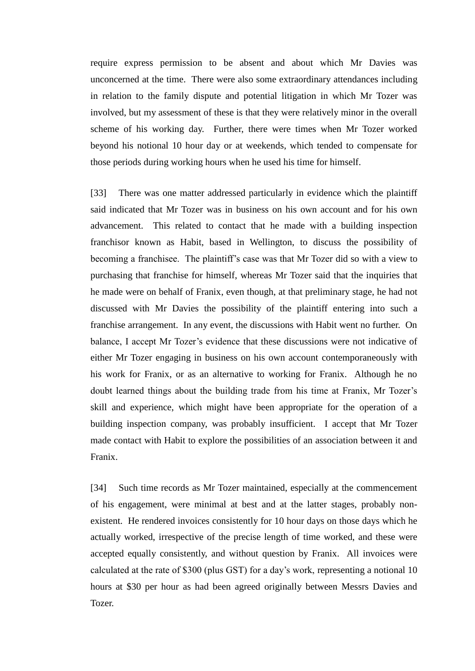require express permission to be absent and about which Mr Davies was unconcerned at the time. There were also some extraordinary attendances including in relation to the family dispute and potential litigation in which Mr Tozer was involved, but my assessment of these is that they were relatively minor in the overall scheme of his working day. Further, there were times when Mr Tozer worked beyond his notional 10 hour day or at weekends, which tended to compensate for those periods during working hours when he used his time for himself.

[33] There was one matter addressed particularly in evidence which the plaintiff said indicated that Mr Tozer was in business on his own account and for his own advancement. This related to contact that he made with a building inspection franchisor known as Habit, based in Wellington, to discuss the possibility of becoming a franchisee. The plaintiff's case was that Mr Tozer did so with a view to purchasing that franchise for himself, whereas Mr Tozer said that the inquiries that he made were on behalf of Franix, even though, at that preliminary stage, he had not discussed with Mr Davies the possibility of the plaintiff entering into such a franchise arrangement. In any event, the discussions with Habit went no further. On balance, I accept Mr Tozer's evidence that these discussions were not indicative of either Mr Tozer engaging in business on his own account contemporaneously with his work for Franix, or as an alternative to working for Franix. Although he no doubt learned things about the building trade from his time at Franix, Mr Tozer's skill and experience, which might have been appropriate for the operation of a building inspection company, was probably insufficient. I accept that Mr Tozer made contact with Habit to explore the possibilities of an association between it and Franix.

[34] Such time records as Mr Tozer maintained, especially at the commencement of his engagement, were minimal at best and at the latter stages, probably nonexistent. He rendered invoices consistently for 10 hour days on those days which he actually worked, irrespective of the precise length of time worked, and these were accepted equally consistently, and without question by Franix. All invoices were calculated at the rate of \$300 (plus GST) for a day's work, representing a notional 10 hours at \$30 per hour as had been agreed originally between Messrs Davies and Tozer.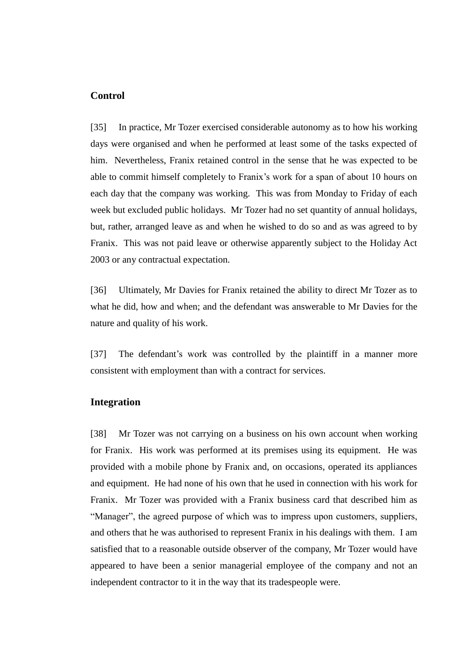## **Control**

[35] In practice, Mr Tozer exercised considerable autonomy as to how his working days were organised and when he performed at least some of the tasks expected of him. Nevertheless, Franix retained control in the sense that he was expected to be able to commit himself completely to Franix's work for a span of about 10 hours on each day that the company was working. This was from Monday to Friday of each week but excluded public holidays. Mr Tozer had no set quantity of annual holidays, but, rather, arranged leave as and when he wished to do so and as was agreed to by Franix. This was not paid leave or otherwise apparently subject to the Holiday Act 2003 or any contractual expectation.

[36] Ultimately, Mr Davies for Franix retained the ability to direct Mr Tozer as to what he did, how and when; and the defendant was answerable to Mr Davies for the nature and quality of his work.

[37] The defendant's work was controlled by the plaintiff in a manner more consistent with employment than with a contract for services.

#### **Integration**

[38] Mr Tozer was not carrying on a business on his own account when working for Franix. His work was performed at its premises using its equipment. He was provided with a mobile phone by Franix and, on occasions, operated its appliances and equipment. He had none of his own that he used in connection with his work for Franix. Mr Tozer was provided with a Franix business card that described him as "Manager", the agreed purpose of which was to impress upon customers, suppliers, and others that he was authorised to represent Franix in his dealings with them. I am satisfied that to a reasonable outside observer of the company, Mr Tozer would have appeared to have been a senior managerial employee of the company and not an independent contractor to it in the way that its tradespeople were.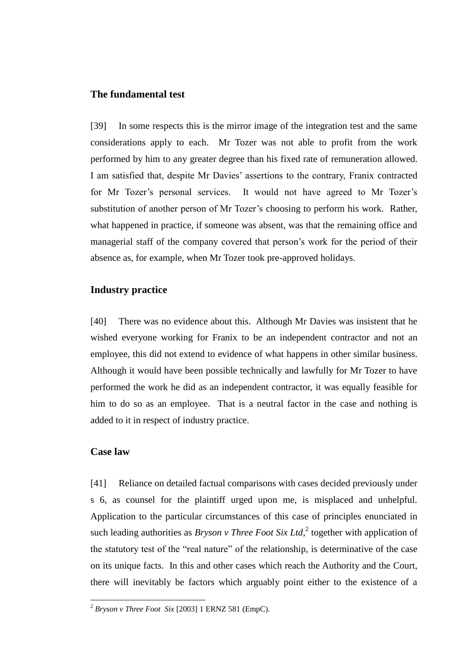#### **The fundamental test**

[39] In some respects this is the mirror image of the integration test and the same considerations apply to each. Mr Tozer was not able to profit from the work performed by him to any greater degree than his fixed rate of remuneration allowed. I am satisfied that, despite Mr Davies' assertions to the contrary, Franix contracted for Mr Tozer's personal services. It would not have agreed to Mr Tozer's substitution of another person of Mr Tozer's choosing to perform his work. Rather, what happened in practice, if someone was absent, was that the remaining office and managerial staff of the company covered that person's work for the period of their absence as, for example, when Mr Tozer took pre-approved holidays.

#### **Industry practice**

[40] There was no evidence about this. Although Mr Davies was insistent that he wished everyone working for Franix to be an independent contractor and not an employee, this did not extend to evidence of what happens in other similar business. Although it would have been possible technically and lawfully for Mr Tozer to have performed the work he did as an independent contractor, it was equally feasible for him to do so as an employee. That is a neutral factor in the case and nothing is added to it in respect of industry practice.

#### **Case law**

 $\overline{a}$ 

[41] Reliance on detailed factual comparisons with cases decided previously under s 6, as counsel for the plaintiff urged upon me, is misplaced and unhelpful. Application to the particular circumstances of this case of principles enunciated in such leading authorities as *Bryson v Three Foot Six Ltd*,<sup>2</sup> together with application of the statutory test of the "real nature" of the relationship, is determinative of the case on its unique facts. In this and other cases which reach the Authority and the Court, there will inevitably be factors which arguably point either to the existence of a

<sup>2</sup> *Bryson v Three Foot Six* [2003] 1 ERNZ 581 (EmpC).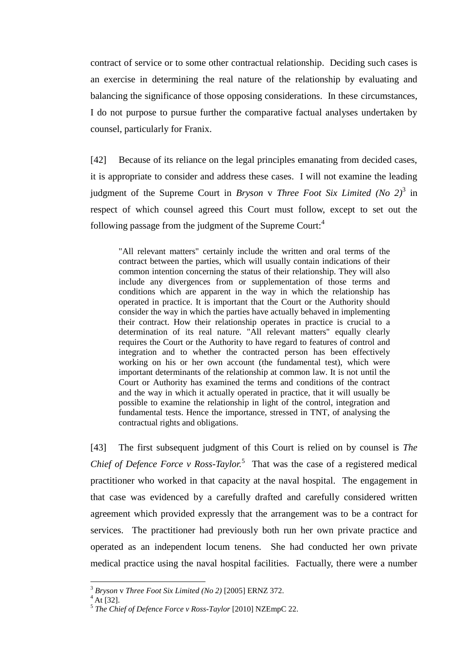contract of service or to some other contractual relationship. Deciding such cases is an exercise in determining the real nature of the relationship by evaluating and balancing the significance of those opposing considerations. In these circumstances, I do not purpose to pursue further the comparative factual analyses undertaken by counsel, particularly for Franix.

[42] Because of its reliance on the legal principles emanating from decided cases, it is appropriate to consider and address these cases. I will not examine the leading judgment of the Supreme Court in *Bryson* v *Three Foot Six Limited (No 2)*<sup>3</sup> in respect of which counsel agreed this Court must follow, except to set out the following passage from the judgment of the Supreme Court: $4$ 

"All relevant matters" certainly include the written and oral terms of the contract between the parties, which will usually contain indications of their common intention concerning the status of their relationship. They will also include any divergences from or supplementation of those terms and conditions which are apparent in the way in which the relationship has operated in practice. It is important that the Court or the Authority should consider the way in which the parties have actually behaved in implementing their contract. How their relationship operates in practice is crucial to a determination of its real nature. "All relevant matters" equally clearly requires the Court or the Authority to have regard to features of control and integration and to whether the contracted person has been effectively working on his or her own account (the fundamental test), which were important determinants of the relationship at common law. It is not until the Court or Authority has examined the terms and conditions of the contract and the way in which it actually operated in practice, that it will usually be possible to examine the relationship in light of the control, integration and fundamental tests. Hence the importance, stressed in TNT, of analysing the contractual rights and obligations.

[43] The first subsequent judgment of this Court is relied on by counsel is *The Chief of Defence Force v Ross-Taylor.*<sup>5</sup> That was the case of a registered medical practitioner who worked in that capacity at the naval hospital. The engagement in that case was evidenced by a carefully drafted and carefully considered written agreement which provided expressly that the arrangement was to be a contract for services. The practitioner had previously both run her own private practice and operated as an independent locum tenens. She had conducted her own private medical practice using the naval hospital facilities. Factually, there were a number

 $\overline{a}$ 

<sup>3</sup> *Bryson* v *Three Foot Six Limited (No 2)* [2005] ERNZ 372.

 $4\bar{A}t$  [32].

<sup>5</sup> *The Chief of Defence Force v Ross-Taylor* [2010] NZEmpC 22.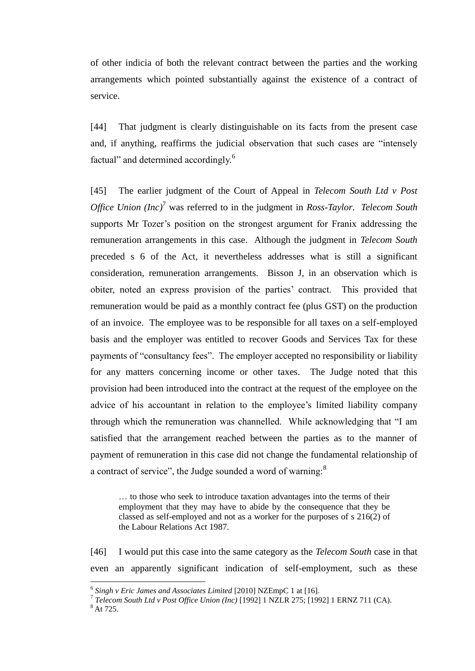of other indicia of both the relevant contract between the parties and the working arrangements which pointed substantially against the existence of a contract of service.

[44] That judgment is clearly distinguishable on its facts from the present case and, if anything, reaffirms the judicial observation that such cases are "intensely factual" and determined accordingly.<sup>6</sup>

[45] The earlier judgment of the Court of Appeal in *Telecom South Ltd v Post Office Union (Inc)*<sup>7</sup> was referred to in the judgment in *Ross-Taylor. Telecom South* supports Mr Tozer's position on the strongest argument for Franix addressing the remuneration arrangements in this case. Although the judgment in *Telecom South* preceded s 6 of the Act, it nevertheless addresses what is still a significant consideration, remuneration arrangements. Bisson J, in an observation which is obiter, noted an express provision of the parties' contract. This provided that remuneration would be paid as a monthly contract fee (plus GST) on the production of an invoice. The employee was to be responsible for all taxes on a self-employed basis and the employer was entitled to recover Goods and Services Tax for these payments of "consultancy fees". The employer accepted no responsibility or liability for any matters concerning income or other taxes. The Judge noted that this provision had been introduced into the contract at the request of the employee on the advice of his accountant in relation to the employee's limited liability company through which the remuneration was channelled. While acknowledging that "I am satisfied that the arrangement reached between the parties as to the manner of payment of remuneration in this case did not change the fundamental relationship of a contract of service", the Judge sounded a word of warning:<sup>8</sup>

… to those who seek to introduce taxation advantages into the terms of their employment that they may have to abide by the consequence that they be classed as self-employed and not as a worker for the purposes of s 216(2) of the Labour Relations Act 1987.

[46] I would put this case into the same category as the *Telecom South* case in that even an apparently significant indication of self-employment, such as these

 $\overline{a}$ 

<sup>6</sup> *Singh v Eric James and Associates Limited* [2010] NZEmpC 1 at [16].

<sup>7</sup> *Telecom South Ltd v Post Office Union (Inc)* [1992] 1 NZLR 275; [1992] 1 ERNZ 711 (CA).

 $8$  At 725.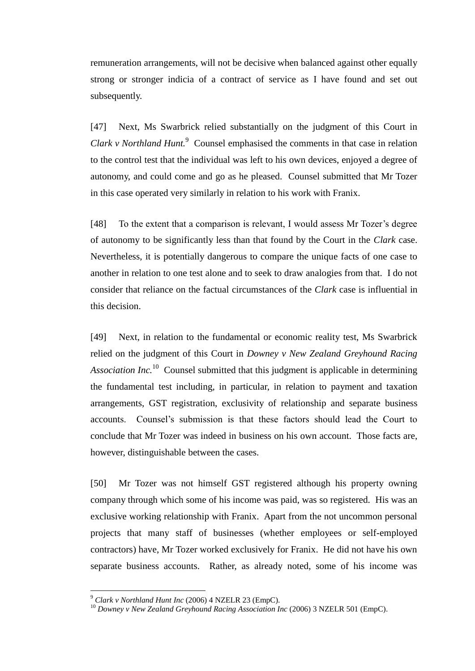remuneration arrangements, will not be decisive when balanced against other equally strong or stronger indicia of a contract of service as I have found and set out subsequently.

[47] Next, Ms Swarbrick relied substantially on the judgment of this Court in *Clark v Northland Hunt.*<sup>9</sup> Counsel emphasised the comments in that case in relation to the control test that the individual was left to his own devices, enjoyed a degree of autonomy, and could come and go as he pleased. Counsel submitted that Mr Tozer in this case operated very similarly in relation to his work with Franix.

[48] To the extent that a comparison is relevant, I would assess Mr Tozer's degree of autonomy to be significantly less than that found by the Court in the *Clark* case. Nevertheless, it is potentially dangerous to compare the unique facts of one case to another in relation to one test alone and to seek to draw analogies from that. I do not consider that reliance on the factual circumstances of the *Clark* case is influential in this decision.

[49] Next, in relation to the fundamental or economic reality test, Ms Swarbrick relied on the judgment of this Court in *Downey v New Zealand Greyhound Racing*  Association Inc.<sup>10</sup> Counsel submitted that this judgment is applicable in determining the fundamental test including, in particular, in relation to payment and taxation arrangements, GST registration, exclusivity of relationship and separate business accounts. Counsel's submission is that these factors should lead the Court to conclude that Mr Tozer was indeed in business on his own account. Those facts are, however, distinguishable between the cases.

[50] Mr Tozer was not himself GST registered although his property owning company through which some of his income was paid, was so registered. His was an exclusive working relationship with Franix. Apart from the not uncommon personal projects that many staff of businesses (whether employees or self-employed contractors) have, Mr Tozer worked exclusively for Franix. He did not have his own separate business accounts. Rather, as already noted, some of his income was

 $\overline{a}$ 

<sup>9</sup> *Clark v Northland Hunt Inc* (2006) 4 NZELR 23 (EmpC).

<sup>10</sup> *Downey v New Zealand Greyhound Racing Association Inc* (2006) 3 NZELR 501 (EmpC).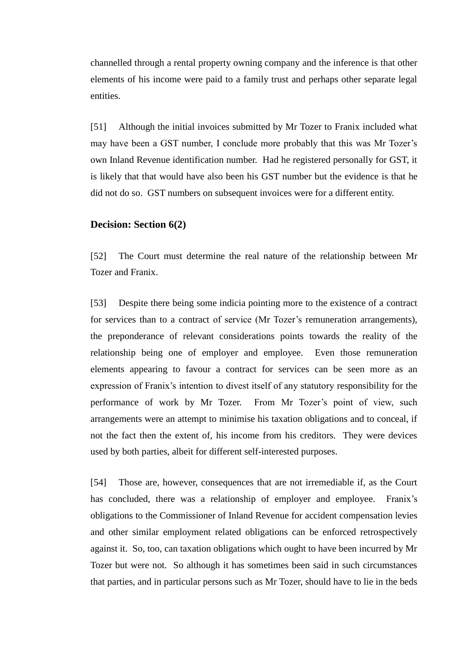channelled through a rental property owning company and the inference is that other elements of his income were paid to a family trust and perhaps other separate legal entities.

[51] Although the initial invoices submitted by Mr Tozer to Franix included what may have been a GST number, I conclude more probably that this was Mr Tozer's own Inland Revenue identification number. Had he registered personally for GST, it is likely that that would have also been his GST number but the evidence is that he did not do so. GST numbers on subsequent invoices were for a different entity.

## **Decision: Section 6(2)**

[52] The Court must determine the real nature of the relationship between Mr Tozer and Franix.

[53] Despite there being some indicia pointing more to the existence of a contract for services than to a contract of service (Mr Tozer's remuneration arrangements), the preponderance of relevant considerations points towards the reality of the relationship being one of employer and employee. Even those remuneration elements appearing to favour a contract for services can be seen more as an expression of Franix's intention to divest itself of any statutory responsibility for the performance of work by Mr Tozer. From Mr Tozer's point of view, such arrangements were an attempt to minimise his taxation obligations and to conceal, if not the fact then the extent of, his income from his creditors. They were devices used by both parties, albeit for different self-interested purposes.

[54] Those are, however, consequences that are not irremediable if, as the Court has concluded, there was a relationship of employer and employee. Franix's obligations to the Commissioner of Inland Revenue for accident compensation levies and other similar employment related obligations can be enforced retrospectively against it. So, too, can taxation obligations which ought to have been incurred by Mr Tozer but were not. So although it has sometimes been said in such circumstances that parties, and in particular persons such as Mr Tozer, should have to lie in the beds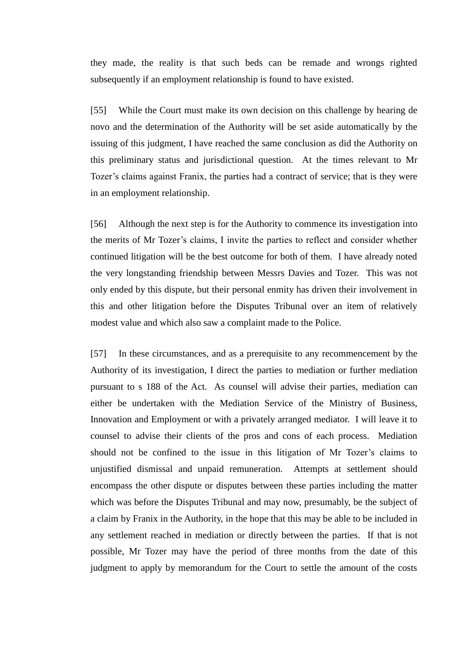they made, the reality is that such beds can be remade and wrongs righted subsequently if an employment relationship is found to have existed.

[55] While the Court must make its own decision on this challenge by hearing de novo and the determination of the Authority will be set aside automatically by the issuing of this judgment, I have reached the same conclusion as did the Authority on this preliminary status and jurisdictional question. At the times relevant to Mr Tozer's claims against Franix, the parties had a contract of service; that is they were in an employment relationship.

[56] Although the next step is for the Authority to commence its investigation into the merits of Mr Tozer's claims, I invite the parties to reflect and consider whether continued litigation will be the best outcome for both of them. I have already noted the very longstanding friendship between Messrs Davies and Tozer. This was not only ended by this dispute, but their personal enmity has driven their involvement in this and other litigation before the Disputes Tribunal over an item of relatively modest value and which also saw a complaint made to the Police.

[57] In these circumstances, and as a prerequisite to any recommencement by the Authority of its investigation, I direct the parties to mediation or further mediation pursuant to s 188 of the Act. As counsel will advise their parties, mediation can either be undertaken with the Mediation Service of the Ministry of Business, Innovation and Employment or with a privately arranged mediator. I will leave it to counsel to advise their clients of the pros and cons of each process. Mediation should not be confined to the issue in this litigation of Mr Tozer's claims to unjustified dismissal and unpaid remuneration. Attempts at settlement should encompass the other dispute or disputes between these parties including the matter which was before the Disputes Tribunal and may now, presumably, be the subject of a claim by Franix in the Authority, in the hope that this may be able to be included in any settlement reached in mediation or directly between the parties. If that is not possible, Mr Tozer may have the period of three months from the date of this judgment to apply by memorandum for the Court to settle the amount of the costs